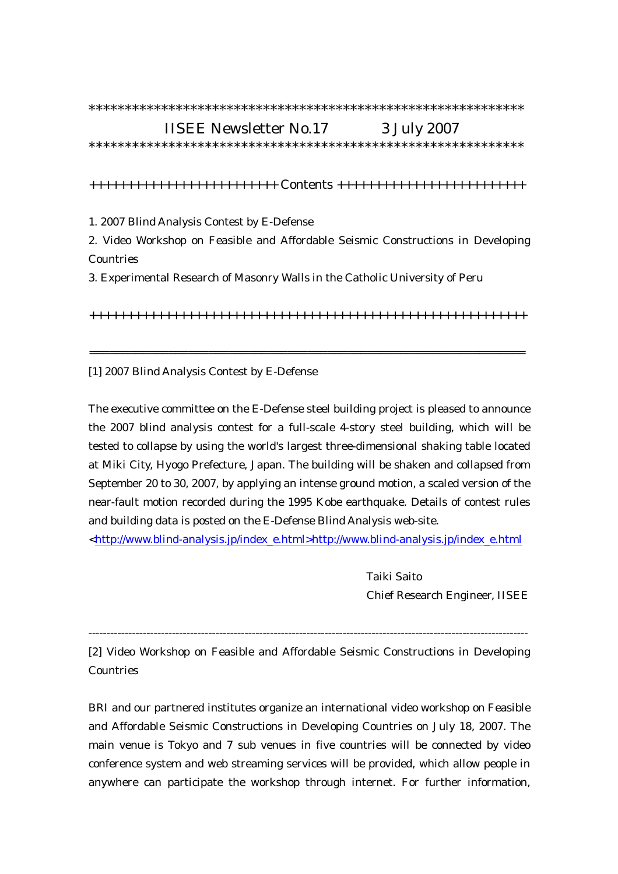## \*\*\*\*\*\*\*\*\*\*\*\*\*\*\*\*\*\*\*\*\*\*\*\*\*\*\*\*\*\*\*\*\*\*\*\*\*\*\*\*\*\*\*\*\*\*\*\*\*\*\*\*\*\*\*\*\*\*\*\*

## IISEE Newsletter No.17 3 July 2007

\*\*\*\*\*\*\*\*\*\*\*\*\*\*\*\*\*\*\*\*\*\*\*\*\*\*\*\*\*\*\*\*\*\*\*\*\*\*\*\*\*\*\*\*\*\*\*\*\*\*\*\*\*\*\*\*\*\*\*\*

+++++++++++++++++++++++++ Contents +++++++++++++++++++++++++

1. 2007 Blind Analysis Contest by E-Defense

2. Video Workshop on Feasible and Affordable Seismic Constructions in Developing Countries

3. Experimental Research of Masonry Walls in the Catholic University of Peru

++++++++++++++++++++++++++++++++++++++++++++++++++++++++++

==================================================================

[1] 2007 Blind Analysis Contest by E-Defense

The executive committee on the E-Defense steel building project is pleased to announce the 2007 blind analysis contest for a full-scale 4-story steel building, which will be tested to collapse by using the world's largest three-dimensional shaking table located at Miki City, Hyogo Prefecture, Japan. The building will be shaken and collapsed from September 20 to 30, 2007, by applying an intense ground motion, a scaled version of the near-fault motion recorded during the 1995 Kobe earthquake. Details of contest rules and building data is posted on the E-Defense Blind Analysis web-site.

<http://www.blind-analysis.jp/index\_e.html>http://www.blind-analysis.jp/index\_e.html

 Taiki Saito Chief Research Engineer, IISEE

-------------------------------------------------------------------------------------------------------------------------

[2] Video Workshop on Feasible and Affordable Seismic Constructions in Developing Countries

BRI and our partnered institutes organize an international video workshop on Feasible and Affordable Seismic Constructions in Developing Countries on July 18, 2007. The main venue is Tokyo and 7 sub venues in five countries will be connected by video conference system and web streaming services will be provided, which allow people in anywhere can participate the workshop through internet. For further information,